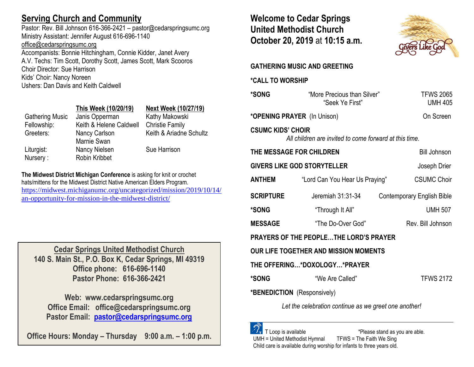## **Serving Church and Community**

Pastor: Rev. Bill Johnson 616-366-2421 – pastor@cedarspringsumc.org Ministry Assistant: Jennifer August 616-696-1140 [office@cedarspringsumc.org](mailto:office@cedarspringsumc.org)

Accompanists: Bonnie Hitchingham, Connie Kidder, Janet Avery A.V. Techs: Tim Scott, Dorothy Scott, James Scott, Mark Scooros Choir Director: Sue Harrison Kids' Choir: Nancy Noreen Ushers: Dan Davis and Keith Caldwell

## **This Week (10/20/19) Next Week (10/27/19)**

Gathering Music Janis Opperman Kathy Makowski Fellowship: Keith & Helene Caldwell Christie Family Greeters: Nancy Carlson Marnie Swan Liturgist: Nancy Nielsen Sue Harrison Nursery : Robin Kribbet

Keith & Ariadne Schultz

**The Midwest District Michigan Conference** is asking for knit or crochet hats/mittens for the Midwest District Native American Elders Program. [https://midwest.michiganumc.org/uncategorized/mission/2019/10/14/](https://midwest.michiganumc.org/uncategorized/mission/2019/10/14/an-opportunity-for-mission-in-the-midwest-district/) [an-opportunity-for-mission-in-the-midwest-district/](https://midwest.michiganumc.org/uncategorized/mission/2019/10/14/an-opportunity-for-mission-in-the-midwest-district/)

**Cedar Springs United Methodist Church 140 S. Main St., P.O. Box K, Cedar Springs, MI 49319 Office phone: 616-696-1140 Pastor Phone: 616-366-2421**

**Web: www.cedarspringsumc.org Office Email: office@cedarspringsumc.org Pastor Email: [pastor@cedarspringsumc.org](mailto:pastor@cedarspringsumc.org)**

**Office Hours: Monday – Thursday 9:00 a.m. – 1:00 p.m.**

**Welcome to Cedar Springs United Methodist Church October 20, 2019** at **10:15 a.m.** 



# **GATHERING MUSIC AND GREETING \*CALL TO WORSHIP \*SONG** "More Precious than Silver" TFWS 2065 "Seek Ye First" UMH 405 **\*OPENING PRAYER** (In Unison) On Screen **CSUMC KIDS' CHOIR** *All children are invited to come forward at this time.* **THE MESSAGE FOR CHILDREN Bill Johnson GIVERS LIKE GOD STORYTELLER** Joseph Drier **ANTHEM** "Lord Can You Hear Us Praying" CSUMC Choir **SCRIPTURE Jeremiah 31:31-34** Contemporary English Bible **\*SONG** "Through It All" UMH 507 **MESSAGE** "The Do-Over God" Rev. Bill Johnson **PRAYERS OF THE PEOPLE…THE LORD'S PRAYER OUR LIFE TOGETHER AND MISSION MOMENTS THE OFFERING…\*DOXOLOGY…\*PRAYER \*SONG** "We Are Called" TFWS 2172 **\*BENEDICTION** (Responsively) *Let the celebration continue as we greet one another!*

 T Loop is available \*Please stand as you are able. UMH = United Methodist Hymnal TFWS = The Faith We Sing Child care is available during worship for infants to three years old.